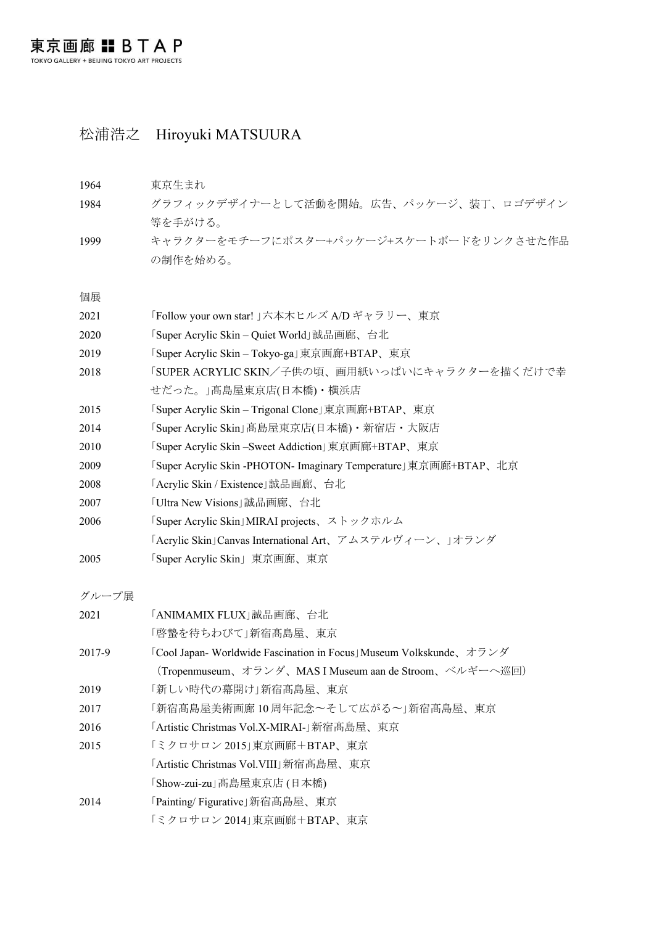## 松浦浩之 Hiroyuki MATSUURA

1964 東京生まれ グラフィックデザイナーとして活動を開始。広告、パッケージ、装丁、ロゴデザイン 等を手がける。 キャラクターをモチーフにポスター+パッケージ+スケートボードをリンクさせた作品 の制作を始める。 個展 「Follow your own star! 」六本木ヒルズ A/D ギャラリー、東京 「Super Acrylic Skin – Quiet World」誠品画廊、台北 「Super Acrylic Skin – Tokyo-ga」東京画廊+BTAP、東京 「SUPER ACRYLIC SKIN/子供の頃、画用紙いっぱいにキャラクターを描くだけで幸 せだった。」髙島屋東京店(日本橋)・横浜店 「Super Acrylic Skin – Trigonal Clone」東京画廊+BTAP、東京 2014 「Super Acrylic Skin」高島屋東京店(日本橋)·新宿店·大阪店 「Super Acrylic Skin –Sweet Addiction」東京画廊+BTAP、東京 「Super Acrylic Skin -PHOTON- Imaginary Temperature」東京画廊+BTAP、北京 「Acrylic Skin / Existence」誠品画廊、台北 「Ultra New Visions」誠品画廊、台北 「Super Acrylic Skin」MIRAI projects、ストックホルム 「Acrylic Skin」Canvas International Art、アムステルヴィーン、」オランダ 「Super Acrylic Skin」東京画廊、東京

グループ展

| 2021   | 「ANIMAMIX FLUX」誠品画廊、台北                                             |
|--------|--------------------------------------------------------------------|
|        | 「啓蟄を待ちわびて」新宿髙島屋、東京                                                 |
| 2017-9 | 「Cool Japan- Worldwide Fascination in Focus」Museum Volkskunde、オランダ |
|        | (Tropenmuseum、オランダ、MAS I Museum aan de Stroom、ベルギーへ巡回)             |
| 2019   | 「新しい時代の幕開け」新宿髙島屋、東京                                                |
| 2017   | 「新宿髙島屋美術画廊 10 周年記念~そして広がる~」新宿髙島屋、東京                                |
| 2016   | 「Artistic Christmas Vol.X-MIRAI-」新宿髙島屋、東京                          |
| 2015   | 「ミクロサロン 2015」東京画廊+BTAP、東京                                          |
|        | 「Artistic Christmas Vol.VIII」新宿髙島屋、東京                              |
|        | 「Show-zui-zu」高島屋東京店 (日本橋)                                          |
| 2014   | 「Painting/Figurative」新宿髙島屋、東京                                      |
|        | 「ミクロサロン 2014」東京画廊+BTAP、東京                                          |